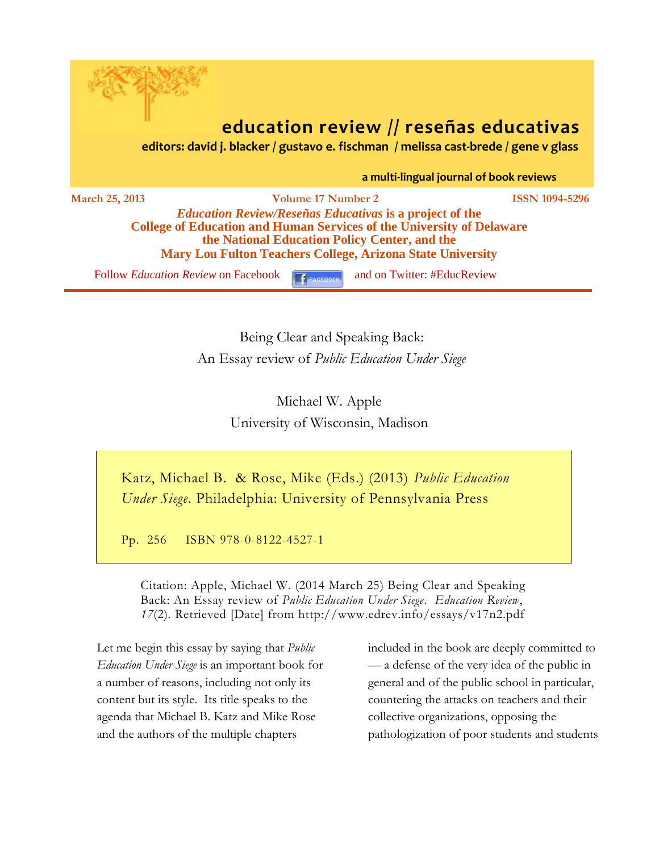

## **education review // reseñas educativas**

 **editors: david j. blacker / gustavo e. fischman / melissa cast-brede / gene v glass**

 **a multi-lingual journal of book reviews**

**March 25, 2013 Volume 17 Number 2 ISSN 1094-5296** *Education Review/Reseñas Educativas* **is a project of the College of Education and Human Services of the University of Delaware the National Education Policy Center, and the Mary Lou Fulton Teachers College, Arizona State University**

Follow *[Education Review](http://www.facebook.com/pages/Education-Review/178358222192644)* on Facebook **Figure 2018** and on Twitter: #EducReview

Being Clear and Speaking Back: An Essay review of *Public Education Under Siege*

> Michael W. Apple University of Wisconsin, Madison

Katz, Michael B. & Rose, Mike (Eds.) (2013) *Public Education Under Siege*. Philadelphia: University of Pennsylvania Press

Pp. 256 ISBN 978-0-8122-4527-1

Citation: Apple, Michael W. (2014 March 25) Being Clear and Speaking Back: An Essay review of *Public Education Under Siege. Education Review*, *17*(2). Retrieved [Date] from http://www.edrev.info/essays/v17n2.pdf

Let me begin this essay by saying that *Public Education Under Siege* is an important book for a number of reasons, including not only its content but its style. Its title speaks to the agenda that Michael B. Katz and Mike Rose and the authors of the multiple chapters

included in the book are deeply committed to — a defense of the very idea of the public in general and of the public school in particular, countering the attacks on teachers and their collective organizations, opposing the pathologization of poor students and students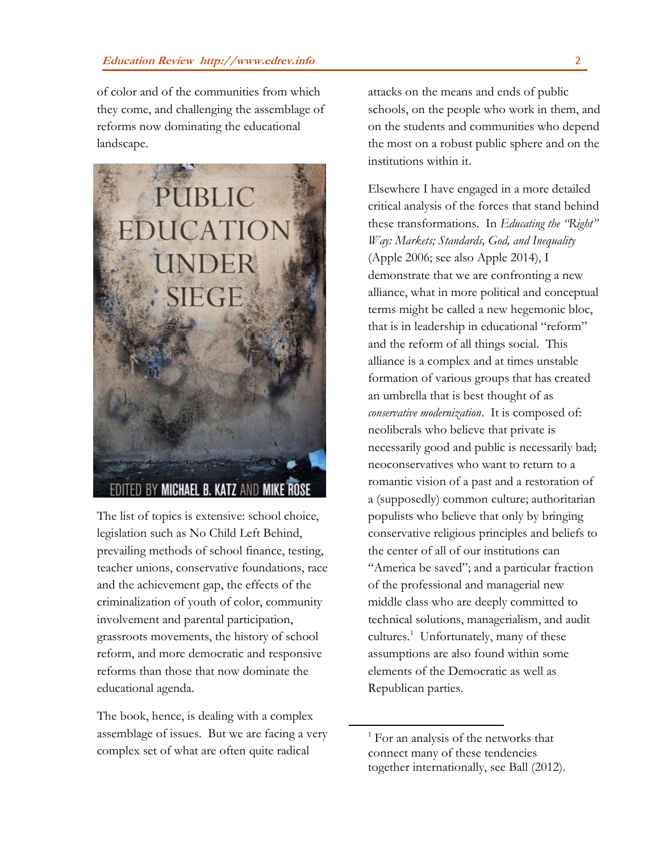of color and of the communities from which they come, and challenging the assemblage of reforms now dominating the educational landscape.



The list of topics is extensive: school choice, legislation such as No Child Left Behind, prevailing methods of school finance, testing, teacher unions, conservative foundations, race and the achievement gap, the effects of the criminalization of youth of color, community involvement and parental participation, grassroots movements, the history of school reform, and more democratic and responsive reforms than those that now dominate the educational agenda.

The book, hence, is dealing with a complex assemblage of issues. But we are facing a very complex set of what are often quite radical

attacks on the means and ends of public schools, on the people who work in them, and on the students and communities who depend the most on a robust public sphere and on the institutions within it.

Elsewhere I have engaged in a more detailed critical analysis of the forces that stand behind these transformations. In *Educating the "Right" Way: Markets; Standards, God, and Inequality* (Apple 2006; see also Apple 2014), I demonstrate that we are confronting a new alliance, what in more political and conceptual terms might be called a new hegemonic bloc, that is in leadership in educational "reform" and the reform of all things social. This alliance is a complex and at times unstable formation of various groups that has created an umbrella that is best thought of as *conservative modernization*. It is composed of: neoliberals who believe that private is necessarily good and public is necessarily bad; neoconservatives who want to return to a romantic vision of a past and a restoration of a (supposedly) common culture; authoritarian populists who believe that only by bringing conservative religious principles and beliefs to the center of all of our institutions can "America be saved"; and a particular fraction of the professional and managerial new middle class who are deeply committed to technical solutions, managerialism, and audit cultures.<sup>1</sup> Unfortunately, many of these assumptions are also found within some elements of the Democratic as well as Republican parties.

 $<sup>1</sup>$  For an analysis of the networks that</sup> connect many of these tendencies together internationally, see Ball (2012).

 $\overline{a}$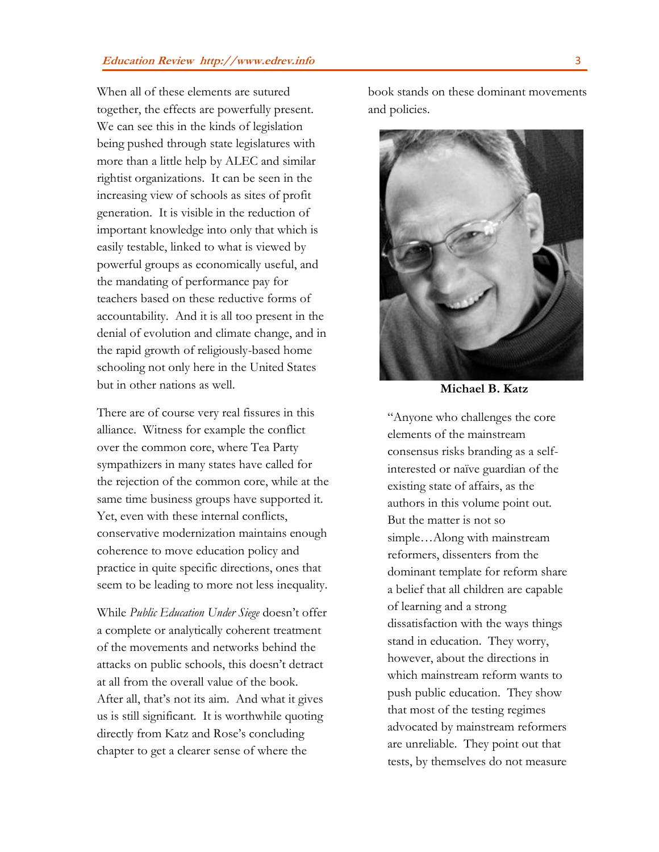When all of these elements are sutured together, the effects are powerfully present. We can see this in the kinds of legislation being pushed through state legislatures with more than a little help by ALEC and similar rightist organizations. It can be seen in the increasing view of schools as sites of profit generation. It is visible in the reduction of important knowledge into only that which is easily testable, linked to what is viewed by powerful groups as economically useful, and the mandating of performance pay for teachers based on these reductive forms of accountability. And it is all too present in the denial of evolution and climate change, and in the rapid growth of religiously-based home schooling not only here in the United States but in other nations as well.

There are of course very real fissures in this alliance. Witness for example the conflict over the common core, where Tea Party sympathizers in many states have called for the rejection of the common core, while at the same time business groups have supported it. Yet, even with these internal conflicts, conservative modernization maintains enough coherence to move education policy and practice in quite specific directions, ones that seem to be leading to more not less inequality.

While *Public Education Under Siege* doesn't offer a complete or analytically coherent treatment of the movements and networks behind the attacks on public schools, this doesn't detract at all from the overall value of the book. After all, that's not its aim. And what it gives us is still significant. It is worthwhile quoting directly from Katz and Rose's concluding chapter to get a clearer sense of where the

book stands on these dominant movements and policies.



**Michael B. Katz**

"Anyone who challenges the core elements of the mainstream consensus risks branding as a selfinterested or naïve guardian of the existing state of affairs, as the authors in this volume point out. But the matter is not so simple…Along with mainstream reformers, dissenters from the dominant template for reform share a belief that all children are capable of learning and a strong dissatisfaction with the ways things stand in education. They worry, however, about the directions in which mainstream reform wants to push public education. They show that most of the testing regimes advocated by mainstream reformers are unreliable. They point out that tests, by themselves do not measure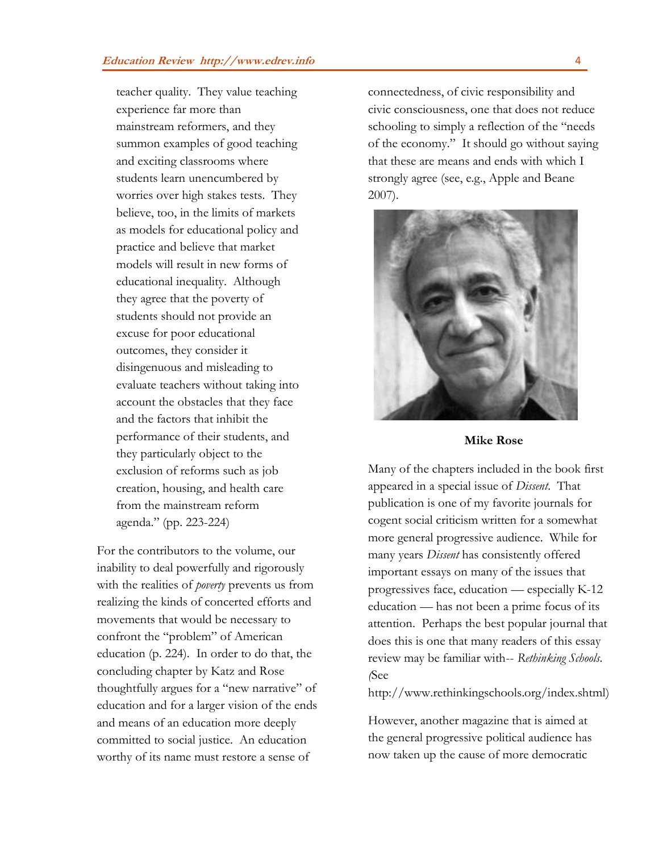teacher quality. They value teaching experience far more than mainstream reformers, and they summon examples of good teaching and exciting classrooms where students learn unencumbered by worries over high stakes tests. They believe, too, in the limits of markets as models for educational policy and practice and believe that market models will result in new forms of educational inequality. Although they agree that the poverty of students should not provide an excuse for poor educational outcomes, they consider it disingenuous and misleading to evaluate teachers without taking into account the obstacles that they face and the factors that inhibit the performance of their students, and they particularly object to the exclusion of reforms such as job creation, housing, and health care from the mainstream reform agenda." (pp. 223-224)

For the contributors to the volume, our inability to deal powerfully and rigorously with the realities of *poverty* prevents us from realizing the kinds of concerted efforts and movements that would be necessary to confront the "problem" of American education (p. 224). In order to do that, the concluding chapter by Katz and Rose thoughtfully argues for a "new narrative" of education and for a larger vision of the ends and means of an education more deeply committed to social justice. An education worthy of its name must restore a sense of

connectedness, of civic responsibility and civic consciousness, one that does not reduce schooling to simply a reflection of the "needs of the economy." It should go without saying that these are means and ends with which I strongly agree (see, e.g., Apple and Beane 2007).



## **Mike Rose**

Many of the chapters included in the book first appeared in a special issue of *Dissent*. That publication is one of my favorite journals for cogent social criticism written for a somewhat more general progressive audience. While for many years *Dissent* has consistently offered important essays on many of the issues that progressives face, education — especially K-12 education — has not been a prime focus of its attention. Perhaps the best popular journal that does this is one that many readers of this essay review may be familiar with-- *Rethinking Schools*. *(*See

[http://www.rethinkingschools.org/index.shtml\)](http://www.rethinkingschools.org/index.shtml)

However, another magazine that is aimed at the general progressive political audience has now taken up the cause of more democratic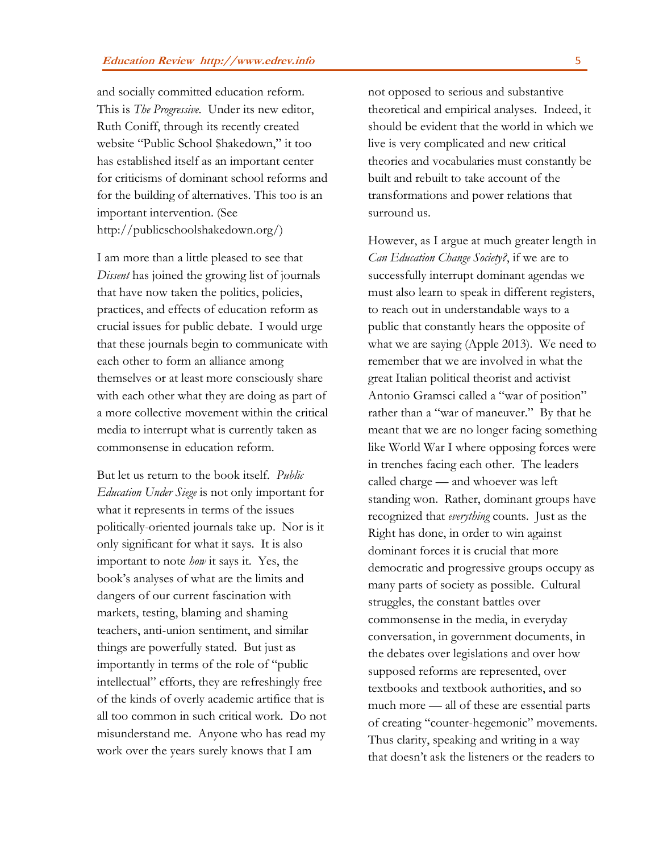and socially committed education reform. This is *The Progressive*. Under its new editor, Ruth Coniff, through its recently created website "Public School \$hakedown," it too has established itself as an important center for criticisms of dominant school reforms and for the building of alternatives. This too is an important intervention. (See [http://publicschoolshakedown.org/\)](http://publicschoolshakedown.org/)

I am more than a little pleased to see that *Dissent* has joined the growing list of journals that have now taken the politics, policies, practices, and effects of education reform as crucial issues for public debate. I would urge that these journals begin to communicate with each other to form an alliance among themselves or at least more consciously share with each other what they are doing as part of a more collective movement within the critical media to interrupt what is currently taken as commonsense in education reform.

But let us return to the book itself. *Public Education Under Siege* is not only important for what it represents in terms of the issues politically-oriented journals take up. Nor is it only significant for what it says. It is also important to note *how* it says it. Yes, the book's analyses of what are the limits and dangers of our current fascination with markets, testing, blaming and shaming teachers, anti-union sentiment, and similar things are powerfully stated. But just as importantly in terms of the role of "public intellectual" efforts, they are refreshingly free of the kinds of overly academic artifice that is all too common in such critical work. Do not misunderstand me. Anyone who has read my work over the years surely knows that I am

not opposed to serious and substantive theoretical and empirical analyses. Indeed, it should be evident that the world in which we live is very complicated and new critical theories and vocabularies must constantly be built and rebuilt to take account of the transformations and power relations that surround us.

However, as I argue at much greater length in *Can Education Change Society?*, if we are to successfully interrupt dominant agendas we must also learn to speak in different registers, to reach out in understandable ways to a public that constantly hears the opposite of what we are saying (Apple 2013). We need to remember that we are involved in what the great Italian political theorist and activist Antonio Gramsci called a "war of position" rather than a "war of maneuver." By that he meant that we are no longer facing something like World War I where opposing forces were in trenches facing each other. The leaders called charge — and whoever was left standing won. Rather, dominant groups have recognized that *everything* counts. Just as the Right has done, in order to win against dominant forces it is crucial that more democratic and progressive groups occupy as many parts of society as possible. Cultural struggles, the constant battles over commonsense in the media, in everyday conversation, in government documents, in the debates over legislations and over how supposed reforms are represented, over textbooks and textbook authorities, and so much more — all of these are essential parts of creating "counter-hegemonic" movements. Thus clarity, speaking and writing in a way that doesn't ask the listeners or the readers to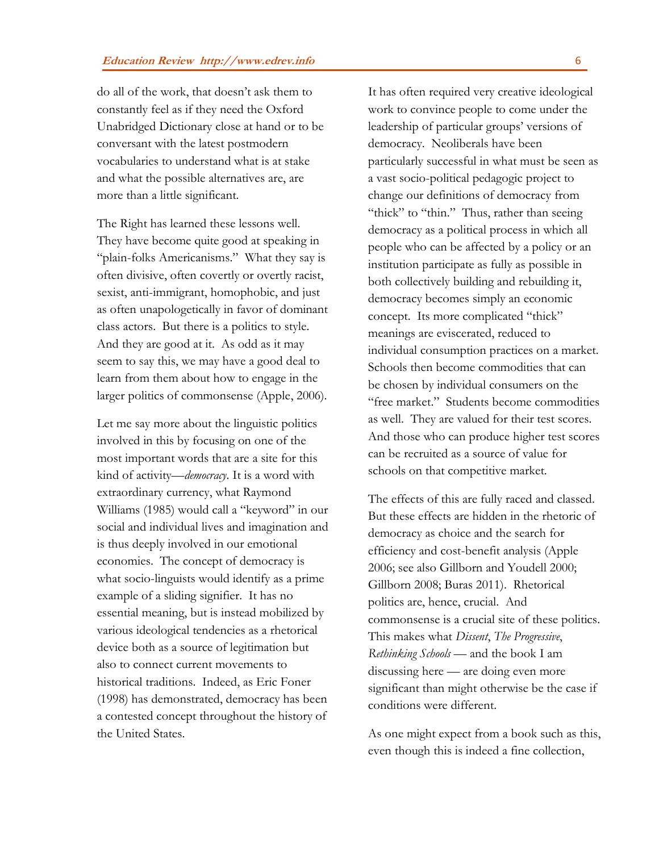do all of the work, that doesn't ask them to constantly feel as if they need the Oxford Unabridged Dictionary close at hand or to be conversant with the latest postmodern vocabularies to understand what is at stake and what the possible alternatives are, are more than a little significant.

The Right has learned these lessons well. They have become quite good at speaking in "plain-folks Americanisms." What they say is often divisive, often covertly or overtly racist, sexist, anti-immigrant, homophobic, and just as often unapologetically in favor of dominant class actors. But there is a politics to style. And they are good at it. As odd as it may seem to say this, we may have a good deal to learn from them about how to engage in the larger politics of commonsense (Apple, 2006).

Let me say more about the linguistic politics involved in this by focusing on one of the most important words that are a site for this kind of activity—*democracy*. It is a word with extraordinary currency, what Raymond Williams (1985) would call a "keyword" in our social and individual lives and imagination and is thus deeply involved in our emotional economies. The concept of democracy is what socio-linguists would identify as a prime example of a sliding signifier. It has no essential meaning, but is instead mobilized by various ideological tendencies as a rhetorical device both as a source of legitimation but also to connect current movements to historical traditions. Indeed, as Eric Foner (1998) has demonstrated, democracy has been a contested concept throughout the history of the United States.

It has often required very creative ideological work to convince people to come under the leadership of particular groups' versions of democracy. Neoliberals have been particularly successful in what must be seen as a vast socio-political pedagogic project to change our definitions of democracy from "thick" to "thin." Thus, rather than seeing democracy as a political process in which all people who can be affected by a policy or an institution participate as fully as possible in both collectively building and rebuilding it, democracy becomes simply an economic concept. Its more complicated "thick" meanings are eviscerated, reduced to individual consumption practices on a market. Schools then become commodities that can be chosen by individual consumers on the "free market." Students become commodities as well. They are valued for their test scores. And those who can produce higher test scores can be recruited as a source of value for schools on that competitive market.

The effects of this are fully raced and classed. But these effects are hidden in the rhetoric of democracy as choice and the search for efficiency and cost-benefit analysis (Apple 2006; see also Gillborn and Youdell 2000; Gillborn 2008; Buras 2011). Rhetorical politics are, hence, crucial. And commonsense is a crucial site of these politics. This makes what *Dissent*, *The Progressive*, *Rethinking Schools* — and the book I am discussing here — are doing even more significant than might otherwise be the case if conditions were different.

As one might expect from a book such as this, even though this is indeed a fine collection,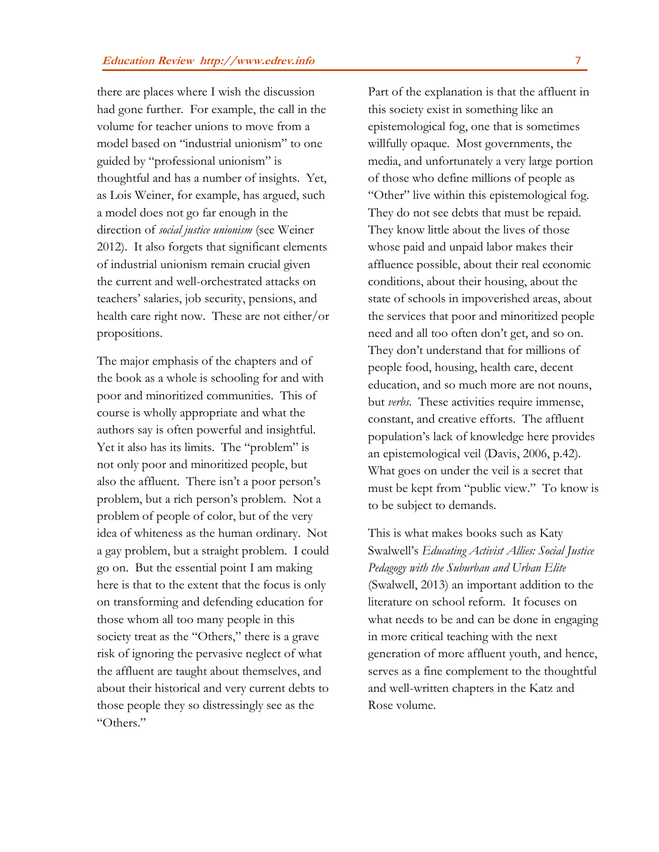there are places where I wish the discussion had gone further. For example, the call in the volume for teacher unions to move from a model based on "industrial unionism" to one guided by "professional unionism" is thoughtful and has a number of insights. Yet, as Lois Weiner, for example, has argued, such a model does not go far enough in the direction of *social justice unionism* (see Weiner 2012). It also forgets that significant elements of industrial unionism remain crucial given the current and well-orchestrated attacks on teachers' salaries, job security, pensions, and health care right now. These are not either/or propositions.

The major emphasis of the chapters and of the book as a whole is schooling for and with poor and minoritized communities. This of course is wholly appropriate and what the authors say is often powerful and insightful. Yet it also has its limits. The "problem" is not only poor and minoritized people, but also the affluent. There isn't a poor person's problem, but a rich person's problem. Not a problem of people of color, but of the very idea of whiteness as the human ordinary. Not a gay problem, but a straight problem. I could go on. But the essential point I am making here is that to the extent that the focus is only on transforming and defending education for those whom all too many people in this society treat as the "Others," there is a grave risk of ignoring the pervasive neglect of what the affluent are taught about themselves, and about their historical and very current debts to those people they so distressingly see as the "Others."

Part of the explanation is that the affluent in this society exist in something like an epistemological fog, one that is sometimes willfully opaque. Most governments, the media, and unfortunately a very large portion of those who define millions of people as "Other" live within this epistemological fog. They do not see debts that must be repaid. They know little about the lives of those whose paid and unpaid labor makes their affluence possible, about their real economic conditions, about their housing, about the state of schools in impoverished areas, about the services that poor and minoritized people need and all too often don't get, and so on. They don't understand that for millions of people food, housing, health care, decent education, and so much more are not nouns, but *verbs*. These activities require immense, constant, and creative efforts. The affluent population's lack of knowledge here provides an epistemological veil (Davis, 2006, p.42). What goes on under the veil is a secret that must be kept from "public view." To know is to be subject to demands.

This is what makes books such as Katy Swalwell's *Educating Activist Allies: Social Justice Pedagogy with the Suburban and Urban Elite*  (Swalwell, 2013) an important addition to the literature on school reform. It focuses on what needs to be and can be done in engaging in more critical teaching with the next generation of more affluent youth, and hence, serves as a fine complement to the thoughtful and well-written chapters in the Katz and Rose volume.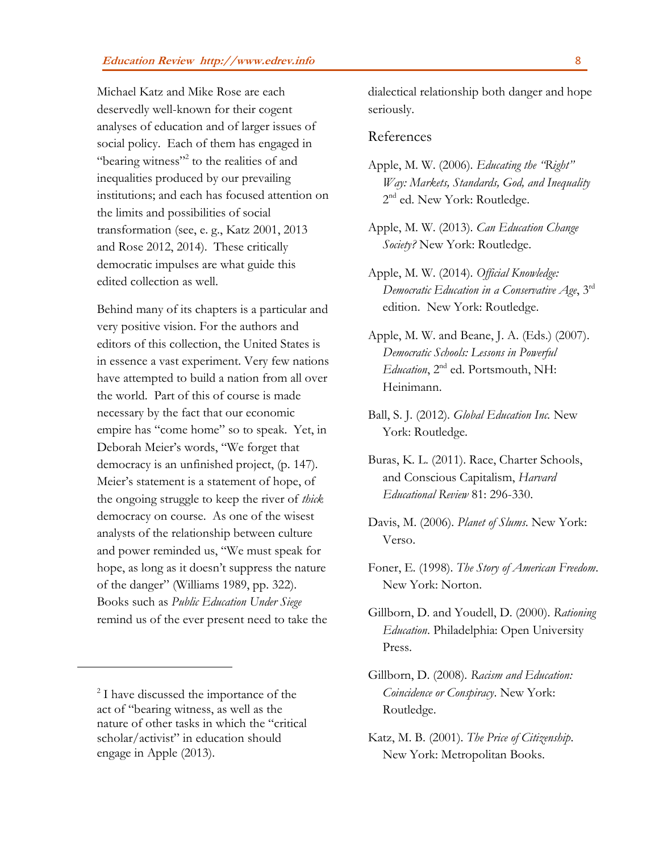Michael Katz and Mike Rose are each deservedly well-known for their cogent analyses of education and of larger issues of social policy. Each of them has engaged in "bearing witness"<sup>2</sup> to the realities of and inequalities produced by our prevailing institutions; and each has focused attention on the limits and possibilities of social transformation (see, e. g., Katz 2001, 2013 and Rose 2012, 2014). These critically democratic impulses are what guide this edited collection as well.

Behind many of its chapters is a particular and very positive vision. For the authors and editors of this collection, the United States is in essence a vast experiment. Very few nations have attempted to build a nation from all over the world. Part of this of course is made necessary by the fact that our economic empire has "come home" so to speak. Yet, in Deborah Meier's words, "We forget that democracy is an unfinished project, (p. 147). Meier's statement is a statement of hope, of the ongoing struggle to keep the river of *thick* democracy on course. As one of the wisest analysts of the relationship between culture and power reminded us, "We must speak for hope, as long as it doesn't suppress the nature of the danger" (Williams 1989, pp. 322). Books such as *Public Education Under Siege* remind us of the ever present need to take the

 $\overline{a}$ 

dialectical relationship both danger and hope seriously.

## References

- Apple, M. W. (2006). *Educating the "Right" Way: Markets, Standards, God, and Inequality* 2<sup>nd</sup> ed. New York: Routledge.
- Apple, M. W. (2013). *Can Education Change Society?* New York: Routledge.
- Apple, M. W. (2014). *Official Knowledge: Democratic Education in a Conservative Age*, 3rd edition. New York: Routledge.
- Apple, M. W. and Beane, J. A. (Eds.) (2007). *Democratic Schools: Lessons in Powerful Education*, 2nd ed. Portsmouth, NH: Heinimann.
- Ball, S. J. (2012). *Global Education Inc.* New York: Routledge.
- Buras, K. L. (2011). Race, Charter Schools, and Conscious Capitalism, *Harvard Educational Review* 81: 296-330.
- Davis, M. (2006). *Planet of Slums*. New York: Verso.
- Foner, E. (1998). *The Story of American Freedom*. New York: Norton.
- Gillborn, D. and Youdell, D. (2000). *Rationing Education*. Philadelphia: Open University Press.
- Gillborn, D. (2008). *Racism and Education: Coincidence or Conspiracy*. New York: Routledge.
- Katz, M. B. (2001). *The Price of Citizenship*. New York: Metropolitan Books.

<sup>&</sup>lt;sup>2</sup> I have discussed the importance of the act of "bearing witness, as well as the nature of other tasks in which the "critical scholar/activist" in education should engage in Apple (2013).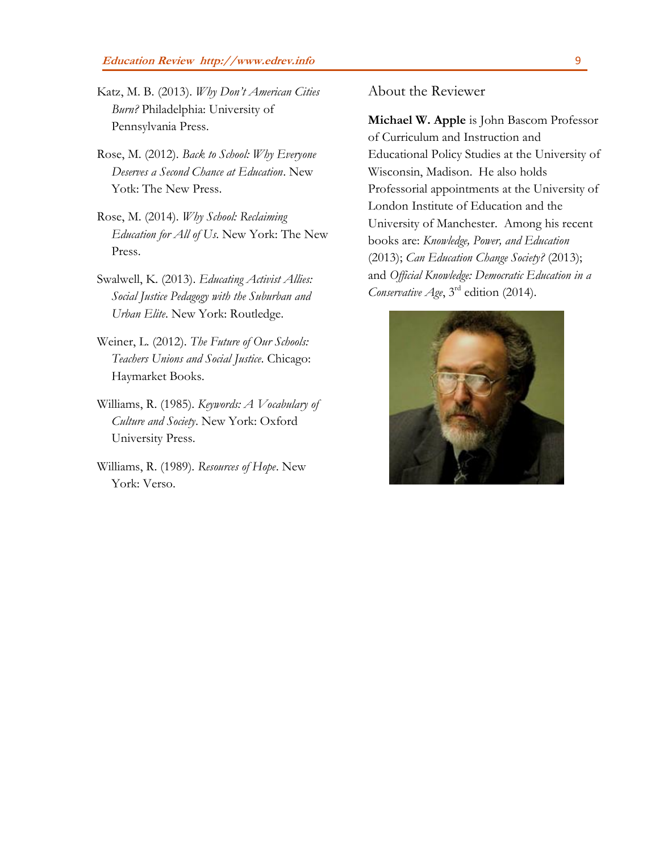- Katz, M. B. (2013). *Why Don't American Cities Burn?* Philadelphia: University of Pennsylvania Press.
- Rose, M. (2012). *Back to School: Why Everyone Deserves a Second Chance at Education*. New Yotk: The New Press.
- Rose, M. (2014). *Why School: Reclaiming Education for All of Us*. New York: The New Press.
- Swalwell, K. (2013). *Educating Activist Allies: Social Justice Pedagogy with the Suburban and Urban Elite*. New York: Routledge.
- Weiner, L. (2012). *The Future of Our Schools: Teachers Unions and Social Justice*. Chicago: Haymarket Books.
- Williams, R. (1985). *Keywords: A Vocabulary of Culture and Society*. New York: Oxford University Press.
- Williams, R. (1989). *Resources of Hope*. New York: Verso.

About the Reviewer

**Michael W. Apple** is John Bascom Professor of Curriculum and Instruction and Educational Policy Studies at the University of Wisconsin, Madison. He also holds Professorial appointments at the University of London Institute of Education and the University of Manchester. Among his recent books are: *Knowledge, Power, and Education* (2013); *Can Education Change Society?* (2013); and *Official Knowledge: Democratic Education in a Conservative Age*, 3rd edition (2014).